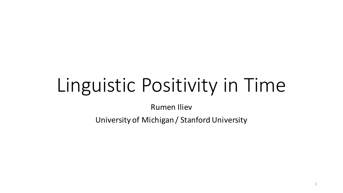# Linguistic Positivity in Time

**Rumen Iliev** 

University of Michigan / Stanford University

1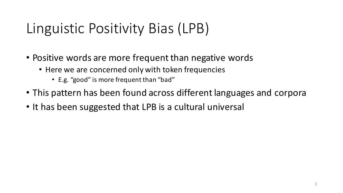# Linguistic Positivity Bias (LPB)

- Positive words are more frequent than negative words
	- Here we are concerned only with token frequencies
		- E.g. "good" is more frequent than "bad"
- This pattern has been found across different languages and corpora
- It has been suggested that LPB is a cultural universal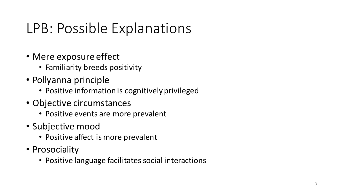# LPB: Possible Explanations

- Mere exposure effect
	- Familiarity breeds positivity
- Pollyanna principle
	- Positive information is cognitively privileged
- Objective circumstances
	- Positive events are more prevalent
- Subjective mood
	- Positive affect is more prevalent
- Prosociality
	- Positive language facilitates social interactions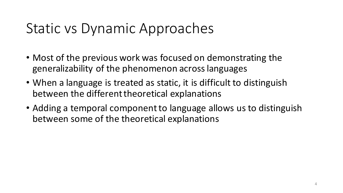#### Static vs Dynamic Approaches

- Most of the previous work was focused on demonstrating the generalizability of the phenomenon across languages
- When a language is treated as static, it is difficult to distinguish between the different theoretical explanations
- Adding a temporal component to language allows us to distinguish between some of the theoretical explanations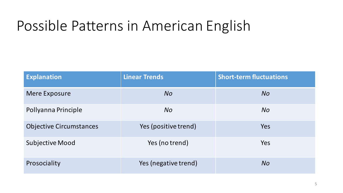# Possible Patterns in American English

| <b>Explanation</b>             | <b>Linear Trends</b> | <b>Short-term fluctuations</b> |
|--------------------------------|----------------------|--------------------------------|
| <b>Mere Exposure</b>           | <b>No</b>            | <b>No</b>                      |
| Pollyanna Principle            | <b>No</b>            | <b>No</b>                      |
| <b>Objective Circumstances</b> | Yes (positive trend) | Yes                            |
| <b>Subjective Mood</b>         | Yes (no trend)       | Yes                            |
| Prosociality                   | Yes (negative trend) | <b>No</b>                      |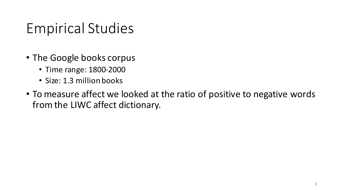### Empirical Studies

- The Google books corpus
	- Time range: 1800-2000
	- Size: 1.3 million books
- To measure affect we looked at the ratio of positive to negative words from the LIWC affect dictionary.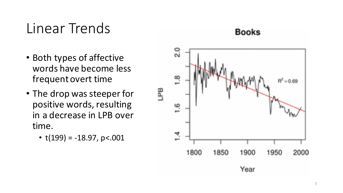#### Linear Trends

**Books** 

- Both types of affective words have become less frequent overt time
- The drop was steeper for positive words, resulting in a decrease in LPB over time.
	- $t(199) = -18.97$ , p<.001

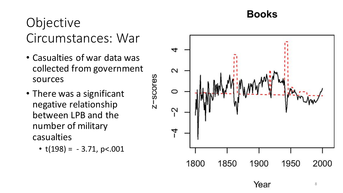#### Objective Circumstances: War

- Casualties of war data was collected from government sources
- There was a significant negative relationship between LPB and the number of military casualties
	- $t(198) = -3.71$ , p<.001



8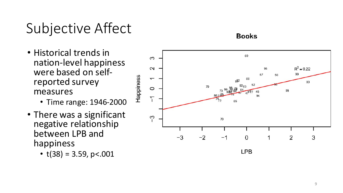# Subjective Affect

- Historical trends in nation -level happiness were based on self-<br>reported survey measures
	- Time range: 1946-2000
- There was a significant negative relationship between LPB and happiness
	- $t(38) = 3.59$ , p<.001



#### **Books**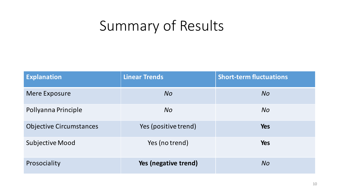# Summary of Results

| <b>Explanation</b>             | <b>Linear Trends</b> | <b>Short-term fluctuations</b> |
|--------------------------------|----------------------|--------------------------------|
| <b>Mere Exposure</b>           | <b>No</b>            | <b>No</b>                      |
| Pollyanna Principle            | <b>No</b>            | <b>No</b>                      |
| <b>Objective Circumstances</b> | Yes (positive trend) | <b>Yes</b>                     |
| <b>Subjective Mood</b>         | Yes (no trend)       | <b>Yes</b>                     |
| Prosociality                   | Yes (negative trend) | <b>No</b>                      |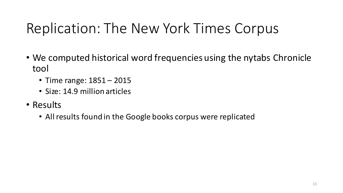# Replication: The New York Times Corpus

- We computed historical word frequencies using the nytabs Chronicle tool
	- Time range:  $1851 2015$
	- Size: 14.9 million articles
- Results
	- All results found in the Google books corpus were replicated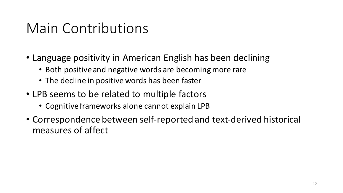#### Main Contributions

- Language positivity in American English has been declining
	- Both positive and negative words are becoming more rare
	- The decline in positive words has been faster
- LPB seems to be related to multiple factors
	- Cognitive frameworks alone cannot explain LPB
- Correspondence between self-reported and text-derived historical measures of affect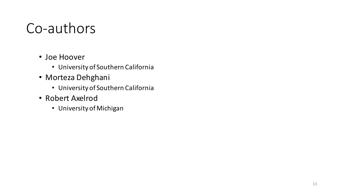#### Co-authors

- Joe Hoover
	- University of Southern California
- Morteza Dehghani
	- University of Southern California
- Robert Axelrod
	- University of Michigan